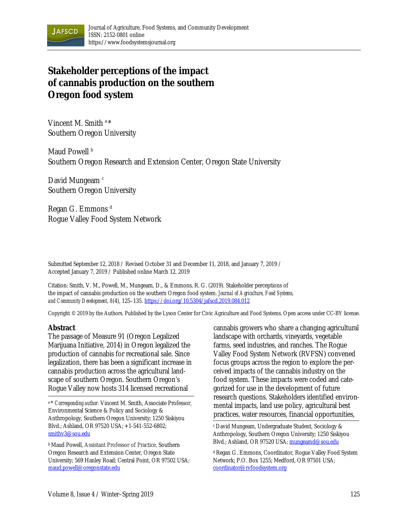

# **Stakeholder perceptions of the impact of cannabis production on the southern Oregon food system**

Vincent M. Smith a \* Southern Oregon University

Maud Powell<sup>b</sup> Southern Oregon Research and Extension Center, Oregon State University

David Mungeam<sup>c</sup> Southern Oregon University

Regan G. Emmons<sup>d</sup> Rogue Valley Food System Network

Submitted September 12, 2018 / Revised October 31 and December 11, 2018, and January 7, 2019 / Accepted January 7, 2019 / Published online March 12, 2019

Citation: Smith, V. M., Powell, M., Mungeam, D., & Emmons, R. G. (2019). Stakeholder perceptions of the impact of cannabis production on the southern Oregon food system. *Journal of Agriculture, Food Systems, and Community Development, 8*(4), 125–135. https://doi.org/10.5304/jafscd.2019.084.012

Copyright © 2019 by the Authors. Published by the Lyson Center for Civic Agriculture and Food Systems. Open access under CC-BY license.

#### **Abstract**

The passage of Measure 91 (Oregon Legalized Marijuana Initiative, 2014) in Oregon legalized the production of cannabis for recreational sale. Since legalization, there has been a significant increase in cannabis production across the agricultural landscape of southern Oregon. Southern Oregon's Rogue Valley now hosts 314 licensed recreational

a \* *Corresponding author:* Vincent M. Smith, Associate Professor, Environmental Science & Policy and Sociology & Anthropology, Southern Oregon University; 1250 Siskiyou Blvd.; Ashland, OR 97520 USA; +1-541-552-6802; smithv3@sou.edu

b Maud Powell, Assistant Professor of Practice, Southern Oregon Research and Extension Center, Oregon State University; 569 Hanley Road; Central Point, OR 97502 USA; maud.powell@oregonstate.edu

cannabis growers who share a changing agricultural landscape with orchards, vineyards, vegetable farms, seed industries, and ranches. The Rogue Valley Food System Network (RVFSN) convened focus groups across the region to explore the perceived impacts of the cannabis industry on the food system. These impacts were coded and categorized for use in the development of future research questions. Stakeholders identified environmental impacts, land use policy, agricultural best practices, water resources, financial opportunities,

c David Mungeam, Undergraduate Student, Sociology & Anthropology, Southern Oregon University; 1250 Siskiyou Blvd.; Ashland, OR 97520 USA; mungeamd@sou.edu

d Regan G. Emmons, Coordinator, Rogue Valley Food System Network; P.O. Box 1255; Medford, OR 97501 USA; coordinator@rvfoodsystem.org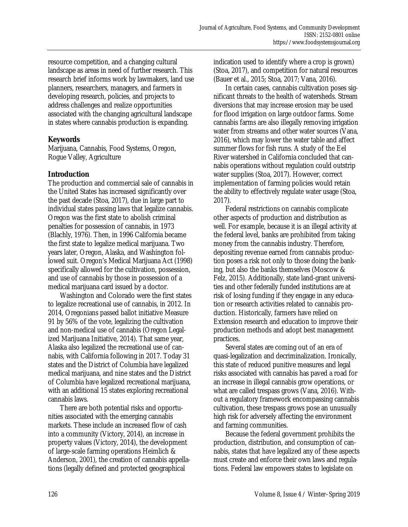resource competition, and a changing cultural landscape as areas in need of further research. This research brief informs work by lawmakers, land use planners, researchers, managers, and farmers in developing research, policies, and projects to address challenges and realize opportunities associated with the changing agricultural landscape in states where cannabis production is expanding.

# **Keywords**

Marijuana, Cannabis, Food Systems, Oregon, Rogue Valley, Agriculture

## **Introduction**

The production and commercial sale of cannabis in the United States has increased significantly over the past decade (Stoa, 2017), due in large part to individual states passing laws that legalize cannabis. Oregon was the first state to abolish criminal penalties for possession of cannabis, in 1973 (Blachly, 1976). Then, in 1996 California became the first state to legalize medical marijuana. Two years later, Oregon, Alaska, and Washington followed suit. Oregon's Medical Marijuana Act (1998) specifically allowed for the cultivation, possession, and use of cannabis by those in possession of a medical marijuana card issued by a doctor.

 Washington and Colorado were the first states to legalize recreational use of cannabis, in 2012. In 2014, Oregonians passed ballot initiative Measure 91 by 56% of the vote, legalizing the cultivation and non-medical use of cannabis (Oregon Legalized Marijuana Initiative, 2014). That same year, Alaska also legalized the recreational use of cannabis, with California following in 2017. Today 31 states and the District of Columbia have legalized medical marijuana, and nine states and the District of Columbia have legalized recreational marijuana, with an additional 15 states exploring recreational cannabis laws.

There are both potential risks and opportunities associated with the emerging cannabis markets. These include an increased flow of cash into a community (Victory, 2014), an increase in property values (Victory, 2014), the development of large-scale farming operations Heimlich & Anderson, 2001), the creation of cannabis appellations (legally defined and protected geographical

indication used to identify where a crop is grown) (Stoa, 2017), and competition for natural resources (Bauer et al., 2015; Stoa, 2017; Vana, 2016).

 In certain cases, cannabis cultivation poses significant threats to the health of watersheds. Stream diversions that may increase erosion may be used for flood irrigation on large outdoor farms. Some cannabis farms are also illegally removing irrigation water from streams and other water sources (Vana, 2016), which may lower the water table and affect summer flows for fish runs. A study of the Eel River watershed in California concluded that cannabis operations without regulation could outstrip water supplies (Stoa, 2017). However, correct implementation of farming policies would retain the ability to effectively regulate water usage (Stoa, 2017).

 Federal restrictions on cannabis complicate other aspects of production and distribution as well. For example, because it is an illegal activity at the federal level, banks are prohibited from taking money from the cannabis industry. Therefore, depositing revenue earned from cannabis production poses a risk not only to those doing the banking, but also the banks themselves (Moscow & Felz, 2015). Additionally, state land-grant universities and other federally funded institutions are at risk of losing funding if they engage in any education or research activities related to cannabis production. Historically, farmers have relied on Extension research and education to improve their production methods and adopt best management practices.

 Several states are coming out of an era of quasi-legalization and decriminalization. Ironically, this state of reduced punitive measures and legal risks associated with cannabis has paved a road for an increase in illegal cannabis grow operations, or what are called trespass grows (Vana, 2016). Without a regulatory framework encompassing cannabis cultivation, these trespass grows pose an unusually high risk for adversely affecting the environment and farming communities.

 Because the federal government prohibits the production, distribution, and consumption of cannabis, states that have legalized any of these aspects must create and enforce their own laws and regulations. Federal law empowers states to legislate on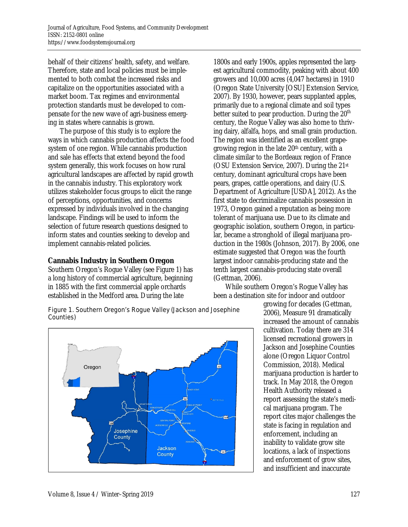behalf of their citizens' health, safety, and welfare. Therefore, state and local policies must be implemented to both combat the increased risks and capitalize on the opportunities associated with a market boom. Tax regimes and environmental protection standards must be developed to compensate for the new wave of agri-business emerging in states where cannabis is grown.

 The purpose of this study is to explore the ways in which cannabis production affects the food system of one region. While cannabis production and sale has effects that extend beyond the food system generally, this work focuses on how rural agricultural landscapes are affected by rapid growth in the cannabis industry. This exploratory work utilizes stakeholder focus groups to elicit the range of perceptions, opportunities, and concerns expressed by individuals involved in the changing landscape. Findings will be used to inform the selection of future research questions designed to inform states and counties seeking to develop and implement cannabis-related policies.

## **Cannabis Industry in Southern Oregon**

Southern Oregon's Rogue Valley (see Figure 1) has a long history of commercial agriculture, beginning in 1885 with the first commercial apple orchards established in the Medford area. During the late

1800s and early 1900s, apples represented the largest agricultural commodity, peaking with about 400 growers and 10,000 acres (4,047 hectares) in 1910 (Oregon State University [OSU] Extension Service, 2007). By 1930, however, pears supplanted apples, primarily due to a regional climate and soil types better suited to pear production. During the  $20<sup>th</sup>$ century, the Rogue Valley was also home to thriving dairy, alfalfa, hops, and small grain production. The region was identified as an excellent grapegrowing region in the late  $20<sup>th</sup>$  century, with a climate similar to the Bordeaux region of France (OSU Extension Service, 2007). During the 21st century, dominant agricultural crops have been pears, grapes, cattle operations, and dairy (U.S. Department of Agriculture [USDA], 2012). As the first state to decriminalize cannabis possession in 1973, Oregon gained a reputation as being more tolerant of marijuana use. Due to its climate and geographic isolation, southern Oregon, in particular, became a stronghold of illegal marijuana production in the 1980s (Johnson, 2017). By 2006, one estimate suggested that Oregon was the fourth largest indoor cannabis-producing state and the tenth largest cannabis-producing state overall (Gettman, 2006).

 While southern Oregon's Rogue Valley has been a destination site for indoor and outdoor

Figure 1. Southern Oregon's Rogue Valley (Jackson and Josephine Counties)



growing for decades (Gettman, 2006), Measure 91 dramatically increased the amount of cannabis cultivation. Today there are 314 licensed recreational growers in Jackson and Josephine Counties alone (Oregon Liquor Control Commission, 2018). Medical marijuana production is harder to track. In May 2018, the Oregon Health Authority released a report assessing the state's medical marijuana program. The report cites major challenges the state is facing in regulation and enforcement, including an inability to validate grow site locations, a lack of inspections and enforcement of grow sites, and insufficient and inaccurate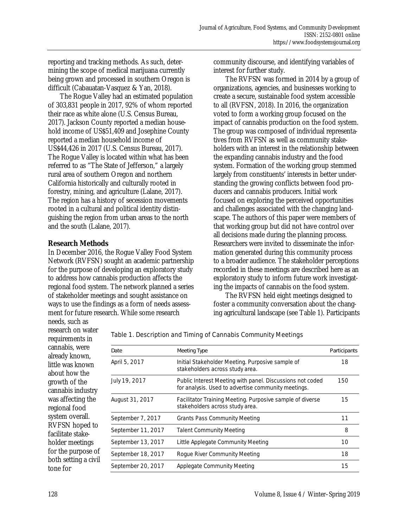reporting and tracking methods. As such, determining the scope of medical marijuana currently being grown and processed in southern Oregon is difficult (Cabauatan-Vasquez & Yan, 2018).

 The Rogue Valley had an estimated population of 303,831 people in 2017, 92% of whom reported their race as white alone (U.S. Census Bureau, 2017). Jackson County reported a median household income of US\$51,409 and Josephine County reported a median household income of US\$44,426 in 2017 (U.S. Census Bureau, 2017). The Rogue Valley is located within what has been referred to as "The State of Jefferson," a largely rural area of southern Oregon and northern California historically and culturally rooted in forestry, mining, and agriculture (Lalane, 2017). The region has a history of secession movements rooted in a cultural and political identity distinguishing the region from urban areas to the north and the south (Lalane, 2017).

#### **Research Methods**

In December 2016, the Rogue Valley Food System Network (RVFSN) sought an academic partnership for the purpose of developing an exploratory study to address how cannabis production affects the regional food system. The network planned a series of stakeholder meetings and sought assistance on ways to use the findings as a form of needs assessment for future research. While some research

community discourse, and identifying variables of interest for further study.

 The RVFSN was formed in 2014 by a group of organizations, agencies, and businesses working to create a secure, sustainable food system accessible to all (RVFSN, 2018). In 2016, the organization voted to form a working group focused on the impact of cannabis production on the food system. The group was composed of individual representatives from RVFSN as well as community stakeholders with an interest in the relationship between the expanding cannabis industry and the food system. Formation of the working group stemmed largely from constituents' interests in better understanding the growing conflicts between food producers and cannabis producers. Initial work focused on exploring the perceived opportunities and challenges associated with the changing landscape. The authors of this paper were members of that working group but did not have control over all decisions made during the planning process. Researchers were invited to disseminate the information generated during this community process to a broader audience. The stakeholder perceptions recorded in these meetings are described here as an exploratory study to inform future work investigating the impacts of cannabis on the food system.

 The RVFSN held eight meetings designed to foster a community conversation about the changing agricultural landscape (see Table 1). Participants

research on water requirements in cannabis, were already known, little was known about how the growth of the cannabis industry was affecting the regional food system overall. RVFSN hoped to facilitate stakeholder meetings for the purpose of both setting a civil tone for

needs, such as

Table 1. Description and Timing of Cannabis Community Meetings

| Date               | Meeting Type                                                                                                     | Participants |
|--------------------|------------------------------------------------------------------------------------------------------------------|--------------|
| April 5, 2017      | Initial Stakeholder Meeting. Purposive sample of<br>stakeholders across study area.                              | 18           |
| July 19, 2017      | Public Interest Meeting with panel. Discussions not coded<br>for analysis. Used to advertise community meetings. | 150          |
| August 31, 2017    | Facilitator Training Meeting. Purposive sample of diverse<br>stakeholders across study area.                     | 15           |
| September 7, 2017  | <b>Grants Pass Community Meeting</b>                                                                             | 11           |
| September 11, 2017 | <b>Talent Community Meeting</b>                                                                                  | 8            |
| September 13, 2017 | Little Applegate Community Meeting                                                                               | 10           |
| September 18, 2017 | Rogue River Community Meeting                                                                                    | 18           |
| September 20, 2017 | Applegate Community Meeting                                                                                      | 15           |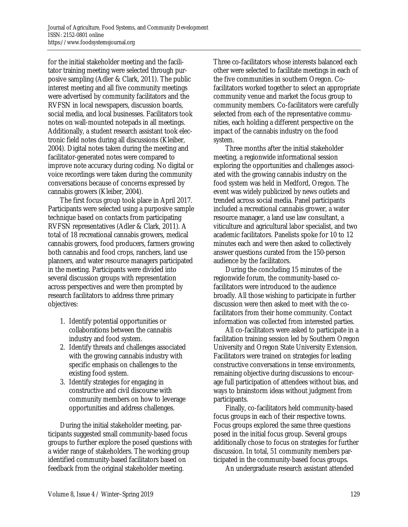for the initial stakeholder meeting and the facilitator training meeting were selected through purposive sampling (Adler & Clark, 2011). The public interest meeting and all five community meetings were advertised by community facilitators and the RVFSN in local newspapers, discussion boards, social media, and local businesses. Facilitators took notes on wall-mounted notepads in all meetings. Additionally, a student research assistant took electronic field notes during all discussions (Kleiber, 2004). Digital notes taken during the meeting and facilitator-generated notes were compared to improve note accuracy during coding. No digital or voice recordings were taken during the community conversations because of concerns expressed by cannabis growers (Kleiber, 2004).

 The first focus group took place in April 2017. Participants were selected using a purposive sample technique based on contacts from participating RVFSN representatives (Adler & Clark, 2011). A total of 18 recreational cannabis growers, medical cannabis growers, food producers, farmers growing both cannabis and food crops, ranchers, land use planners, and water resource managers participated in the meeting. Participants were divided into several discussion groups with representation across perspectives and were then prompted by research facilitators to address three primary objectives:

- 1. Identify potential opportunities or collaborations between the cannabis industry and food system.
- 2. Identify threats and challenges associated with the growing cannabis industry with specific emphasis on challenges to the existing food system.
- 3. Identify strategies for engaging in constructive and civil discourse with community members on how to leverage opportunities and address challenges.

 During the initial stakeholder meeting, participants suggested small community-based focus groups to further explore the posed questions with a wider range of stakeholders. The working group identified community-based facilitators based on feedback from the original stakeholder meeting.

Three co-facilitators whose interests balanced each other were selected to facilitate meetings in each of the five communities in southern Oregon. Cofacilitators worked together to select an appropriate community venue and market the focus group to community members. Co-facilitators were carefully selected from each of the representative communities, each holding a different perspective on the impact of the cannabis industry on the food system.

 Three months after the initial stakeholder meeting, a regionwide informational session exploring the opportunities and challenges associated with the growing cannabis industry on the food system was held in Medford, Oregon. The event was widely publicized by news outlets and trended across social media. Panel participants included a recreational cannabis grower, a water resource manager, a land use law consultant, a viticulture and agricultural labor specialist, and two academic facilitators. Panelists spoke for 10 to 12 minutes each and were then asked to collectively answer questions curated from the 150-person audience by the facilitators.

 During the concluding 15 minutes of the regionwide forum, the community-based cofacilitators were introduced to the audience broadly. All those wishing to participate in further discussion were then asked to meet with the cofacilitators from their home community. Contact information was collected from interested parties.

 All co-facilitators were asked to participate in a facilitation training session led by Southern Oregon University and Oregon State University Extension. Facilitators were trained on strategies for leading constructive conversations in tense environments, remaining objective during discussions to encourage full participation of attendees without bias, and ways to brainstorm ideas without judgment from participants.

 Finally, co-facilitators held community-based focus groups in each of their respective towns. Focus groups explored the same three questions posed in the initial focus group. Several groups additionally chose to focus on strategies for further discussion. In total, 51 community members participated in the community-based focus groups.

An undergraduate research assistant attended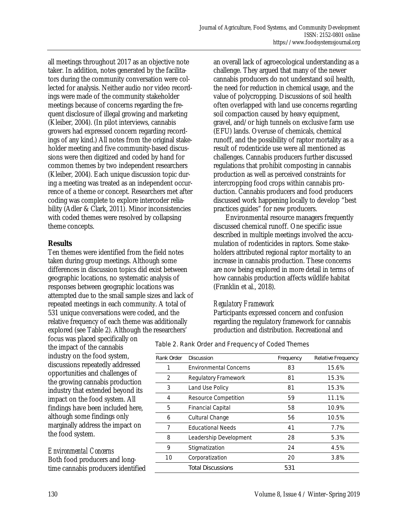all meetings throughout 2017 as an objective note taker. In addition, notes generated by the facilitators during the community conversation were collected for analysis. Neither audio nor video recordings were made of the community stakeholder meetings because of concerns regarding the frequent disclosure of illegal growing and marketing (Kleiber, 2004). (In pilot interviews, cannabis growers had expressed concern regarding recordings of any kind.) All notes from the original stakeholder meeting and five community-based discussions were then digitized and coded by hand for common themes by two independent researchers (Kleiber, 2004). Each unique discussion topic during a meeting was treated as an independent occurrence of a theme or concept. Researchers met after coding was complete to explore intercoder reliability (Adler & Clark, 2011). Minor inconsistencies with coded themes were resolved by collapsing theme concepts.

#### **Results**

Ten themes were identified from the field notes taken during group meetings. Although some differences in discussion topics did exist between geographic locations, no systematic analysis of responses between geographic locations was attempted due to the small sample sizes and lack of repeated meetings in each community. A total of 531 unique conversations were coded, and the relative frequency of each theme was additionally explored (see Table 2). Although the researchers'

focus was placed specifically on the impact of the cannabis industry on the food system, discussions repeatedly addressed opportunities and challenges of the growing cannabis production industry that extended beyond its impact on the food system. All findings have been included here, although some findings only marginally address the impact on the food system.

# *Environmental Concerns*

Both food producers and longtime cannabis producers identified an overall lack of agroecological understanding as a challenge. They argued that many of the newer cannabis producers do not understand soil health, the need for reduction in chemical usage, and the value of polycropping. Discussions of soil health often overlapped with land use concerns regarding soil compaction caused by heavy equipment, gravel, and/or high tunnels on exclusive farm use (EFU) lands. Overuse of chemicals, chemical runoff, and the possibility of raptor mortality as a result of rodenticide use were all mentioned as challenges. Cannabis producers further discussed regulations that prohibit composting in cannabis production as well as perceived constraints for intercropping food crops within cannabis production. Cannabis producers and food producers discussed work happening locally to develop "best practices guides" for new producers.

 Environmental resource managers frequently discussed chemical runoff. One specific issue described in multiple meetings involved the accumulation of rodenticides in raptors. Some stakeholders attributed regional raptor mortality to an increase in cannabis production. These concerns are now being explored in more detail in terms of how cannabis production affects wildlife habitat (Franklin et al., 2018).

# *Regulatory Framework*

Participants expressed concern and confusion regarding the regulatory framework for cannabis production and distribution. Recreational and

#### Table 2. Rank Order and Frequency of Coded Themes

| Rank Order | <b>Discussion</b>             | Frequency | Relative Frequency |
|------------|-------------------------------|-----------|--------------------|
| 1          | <b>Environmental Concerns</b> | 83        | 15.6%              |
| 2          | Regulatory Framework          | 81        | 15.3%              |
| 3          | Land Use Policy               | 81        | 15.3%              |
| 4          | Resource Competition          | 59        | 11.1%              |
| 5          | <b>Financial Capital</b>      | 58        | 10.9%              |
| 6          | Cultural Change               | 56        | 10.5%              |
| 7          | <b>Educational Needs</b>      | 41        | 7.7%               |
| 8          | Leadership Development        | 28        | 5.3%               |
| 9          | Stigmatization                | 24        | 4.5%               |
| 10         | Corporatization               | 20        | 3.8%               |
|            | <b>Total Discussions</b>      | 531       |                    |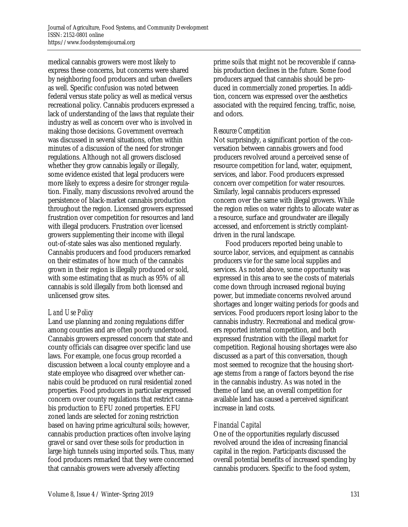medical cannabis growers were most likely to express these concerns, but concerns were shared by neighboring food producers and urban dwellers as well. Specific confusion was noted between federal versus state policy as well as medical versus recreational policy. Cannabis producers expressed a lack of understanding of the laws that regulate their industry as well as concern over who is involved in making those decisions. Government overreach was discussed in several situations, often within minutes of a discussion of the need for stronger regulations. Although not all growers disclosed whether they grow cannabis legally or illegally, some evidence existed that legal producers were more likely to express a desire for stronger regulation. Finally, many discussions revolved around the persistence of black-market cannabis production throughout the region. Licensed growers expressed frustration over competition for resources and land with illegal producers. Frustration over licensed growers supplementing their income with illegal out-of-state sales was also mentioned regularly. Cannabis producers and food producers remarked on their estimates of how much of the cannabis grown in their region is illegally produced or sold, with some estimating that as much as 95% of all cannabis is sold illegally from both licensed and unlicensed grow sites.

# *Land Use Policy*

Land use planning and zoning regulations differ among counties and are often poorly understood. Cannabis growers expressed concern that state and county officials can disagree over specific land use laws. For example, one focus group recorded a discussion between a local county employee and a state employee who disagreed over whether cannabis could be produced on rural residential zoned properties. Food producers in particular expressed concern over county regulations that restrict cannabis production to EFU zoned properties. EFU zoned lands are selected for zoning restriction based on having prime agricultural soils; however, cannabis production practices often involve laying gravel or sand over these soils for production in large high tunnels using imported soils. Thus, many food producers remarked that they were concerned that cannabis growers were adversely affecting

prime soils that might not be recoverable if cannabis production declines in the future. Some food producers argued that cannabis should be produced in commercially zoned properties. In addition, concern was expressed over the aesthetics associated with the required fencing, traffic, noise, and odors.

## *Resource Competition*

Not surprisingly, a significant portion of the conversation between cannabis growers and food producers revolved around a perceived sense of resource competition for land, water, equipment, services, and labor. Food producers expressed concern over competition for water resources. Similarly, legal cannabis producers expressed concern over the same with illegal growers. While the region relies on water rights to allocate water as a resource, surface and groundwater are illegally accessed, and enforcement is strictly complaintdriven in the rural landscape.

 Food producers reported being unable to source labor, services, and equipment as cannabis producers vie for the same local supplies and services. As noted above, some opportunity was expressed in this area to see the costs of materials come down through increased regional buying power, but immediate concerns revolved around shortages and longer waiting periods for goods and services. Food producers report losing labor to the cannabis industry. Recreational and medical growers reported internal competition, and both expressed frustration with the illegal market for competition. Regional housing shortages were also discussed as a part of this conversation, though most seemed to recognize that the housing shortage stems from a range of factors beyond the rise in the cannabis industry. As was noted in the theme of land use, an overall competition for available land has caused a perceived significant increase in land costs.

# *Financial Capital*

One of the opportunities regularly discussed revolved around the idea of increasing financial capital in the region. Participants discussed the overall potential benefits of increased spending by cannabis producers. Specific to the food system,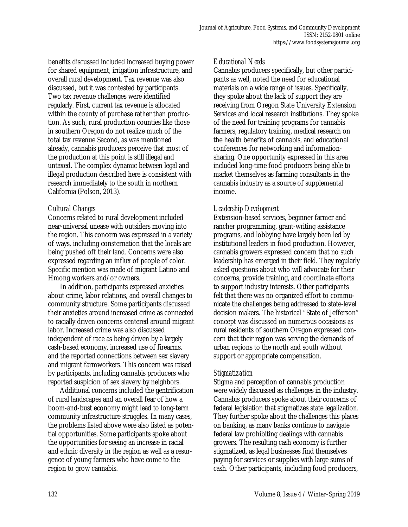benefits discussed included increased buying power for shared equipment, irrigation infrastructure, and overall rural development. Tax revenue was also discussed, but it was contested by participants. Two tax revenue challenges were identified regularly. First, current tax revenue is allocated within the county of purchase rather than production. As such, rural production counties like those in southern Oregon do not realize much of the total tax revenue Second, as was mentioned already, cannabis producers perceive that most of the production at this point is still illegal and untaxed. The complex dynamic between legal and illegal production described here is consistent with research immediately to the south in northern California (Polson, 2013).

# *Cultural Changes*

Concerns related to rural development included near-universal unease with outsiders moving into the region. This concern was expressed in a variety of ways, including consternation that the locals are being pushed off their land. Concerns were also expressed regarding an influx of people of color. Specific mention was made of migrant Latino and Hmong workers and/or owners.

 In addition, participants expressed anxieties about crime, labor relations, and overall changes to community structure. Some participants discussed their anxieties around increased crime as connected to racially driven concerns centered around migrant labor. Increased crime was also discussed independent of race as being driven by a largely cash-based economy, increased use of firearms, and the reported connections between sex slavery and migrant farmworkers. This concern was raised by participants, including cannabis producers who reported suspicion of sex slavery by neighbors.

 Additional concerns included the gentrification of rural landscapes and an overall fear of how a boom-and-bust economy might lead to long-term community infrastructure struggles. In many cases, the problems listed above were also listed as potential opportunities. Some participants spoke about the opportunities for seeing an increase in racial and ethnic diversity in the region as well as a resurgence of young farmers who have come to the region to grow cannabis.

#### *Educational Needs*

Cannabis producers specifically, but other participants as well, noted the need for educational materials on a wide range of issues. Specifically, they spoke about the lack of support they are receiving from Oregon State University Extension Services and local research institutions. They spoke of the need for training programs for cannabis farmers, regulatory training, medical research on the health benefits of cannabis, and educational conferences for networking and informationsharing. One opportunity expressed in this area included long-time food producers being able to market themselves as farming consultants in the cannabis industry as a source of supplemental income.

## *Leadership Development*

Extension-based services, beginner farmer and rancher programming, grant-writing assistance programs, and lobbying have largely been led by institutional leaders in food production. However, cannabis growers expressed concern that no such leadership has emerged in their field. They regularly asked questions about who will advocate for their concerns, provide training, and coordinate efforts to support industry interests. Other participants felt that there was no organized effort to communicate the challenges being addressed to state-level decision makers. The historical "State of Jefferson" concept was discussed on numerous occasions as rural residents of southern Oregon expressed concern that their region was serving the demands of urban regions to the north and south without support or appropriate compensation.

#### *Stigmatization*

Stigma and perception of cannabis production were widely discussed as challenges in the industry. Cannabis producers spoke about their concerns of federal legislation that stigmatizes state legalization. They further spoke about the challenges this places on banking, as many banks continue to navigate federal law prohibiting dealings with cannabis growers. The resulting cash economy is further stigmatized, as legal businesses find themselves paying for services or supplies with large sums of cash. Other participants, including food producers,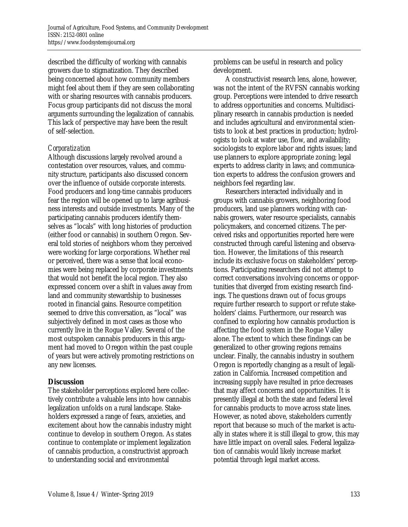described the difficulty of working with cannabis growers due to stigmatization. They described being concerned about how community members might feel about them if they are seen collaborating with or sharing resources with cannabis producers. Focus group participants did not discuss the moral arguments surrounding the legalization of cannabis. This lack of perspective may have been the result of self-selection.

#### *Corporatization*

Although discussions largely revolved around a contestation over resources, values, and community structure, participants also discussed concern over the influence of outside corporate interests. Food producers and long-time cannabis producers fear the region will be opened up to large agribusiness interests and outside investments. Many of the participating cannabis producers identify themselves as "locals" with long histories of production (either food or cannabis) in southern Oregon. Several told stories of neighbors whom they perceived were working for large corporations. Whether real or perceived, there was a sense that local economies were being replaced by corporate investments that would not benefit the local region. They also expressed concern over a shift in values away from land and community stewardship to businesses rooted in financial gains. Resource competition seemed to drive this conversation, as "local" was subjectively defined in most cases as those who currently live in the Rogue Valley. Several of the most outspoken cannabis producers in this argument had moved to Oregon within the past couple of years but were actively promoting restrictions on any new licenses.

# **Discussion**

The stakeholder perceptions explored here collectively contribute a valuable lens into how cannabis legalization unfolds on a rural landscape. Stakeholders expressed a range of fears, anxieties, and excitement about how the cannabis industry might continue to develop in southern Oregon. As states continue to contemplate or implement legalization of cannabis production, a constructivist approach to understanding social and environmental

problems can be useful in research and policy development.

 A constructivist research lens, alone, however, was not the intent of the RVFSN cannabis working group. Perceptions were intended to drive research to address opportunities and concerns. Multidisciplinary research in cannabis production is needed and includes agricultural and environmental scientists to look at best practices in production; hydrologists to look at water use, flow, and availability; sociologists to explore labor and rights issues; land use planners to explore appropriate zoning; legal experts to address clarity in laws; and communication experts to address the confusion growers and neighbors feel regarding law.

 Researchers interacted individually and in groups with cannabis growers, neighboring food producers, land use planners working with cannabis growers, water resource specialists, cannabis policymakers, and concerned citizens. The perceived risks and opportunities reported here were constructed through careful listening and observation. However, the limitations of this research include its exclusive focus on stakeholders' perceptions. Participating researchers did not attempt to correct conversations involving concerns or opportunities that diverged from existing research findings. The questions drawn out of focus groups require further research to support or refute stakeholders' claims. Furthermore, our research was confined to exploring how cannabis production is affecting the food system in the Rogue Valley alone. The extent to which these findings can be generalized to other growing regions remains unclear. Finally, the cannabis industry in southern Oregon is reportedly changing as a result of legalization in California. Increased competition and increasing supply have resulted in price decreases that may affect concerns and opportunities. It is presently illegal at both the state and federal level for cannabis products to move across state lines. However, as noted above, stakeholders currently report that because so much of the market is actually in states where it is still illegal to grow, this may have little impact on overall sales. Federal legalization of cannabis would likely increase market potential through legal market access.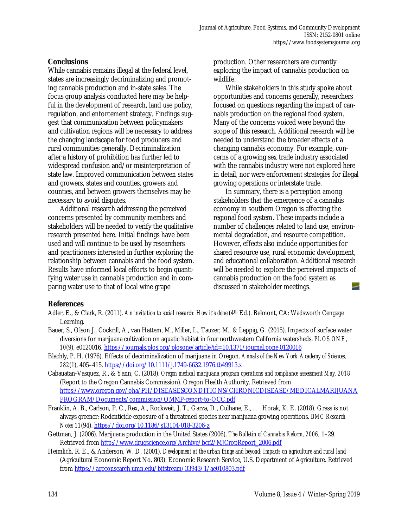#### **Conclusions**

While cannabis remains illegal at the federal level, states are increasingly decriminalizing and promoting cannabis production and in-state sales. The focus group analysis conducted here may be helpful in the development of research, land use policy, regulation, and enforcement strategy. Findings suggest that communication between policymakers and cultivation regions will be necessary to address the changing landscape for food producers and rural communities generally. Decriminalization after a history of prohibition has further led to widespread confusion and/or misinterpretation of state law. Improved communication between states and growers, states and counties, growers and counties, and between growers themselves may be necessary to avoid disputes.

 Additional research addressing the perceived concerns presented by community members and stakeholders will be needed to verify the qualitative research presented here. Initial findings have been used and will continue to be used by researchers and practitioners interested in further exploring the relationship between cannabis and the food system. Results have informed local efforts to begin quantifying water use in cannabis production and in comparing water use to that of local wine grape

production. Other researchers are currently exploring the impact of cannabis production on wildlife.

 While stakeholders in this study spoke about opportunities and concerns generally, researchers focused on questions regarding the impact of cannabis production on the regional food system. Many of the concerns voiced were beyond the scope of this research. Additional research will be needed to understand the broader effects of a changing cannabis economy. For example, concerns of a growing sex trade industry associated with the cannabis industry were not explored here in detail, nor were enforcement strategies for illegal growing operations or interstate trade.

 In summary, there is a perception among stakeholders that the emergence of a cannabis economy in southern Oregon is affecting the regional food system. These impacts include a number of challenges related to land use, environmental degradation, and resource competition. However, effects also include opportunities for shared resource use, rural economic development, and educational collaboration. Additional research will be needed to explore the perceived impacts of cannabis production on the food system as discussed in stakeholder meetings.

#### **References**

- Adler, E., & Clark, R. (2011). *An invitation to social research: How it's done* (4th Ed.). Belmont, CA: Wadsworth Cengage Learning.
- Bauer, S., Olson J., Cockrill, A., van Hattem, M., Miller, L., Tauzer, M., & Leppig, G. (2015). Impacts of surface water diversions for marijuana cultivation on aquatic habitat in four northwestern California watersheds. *PLOS ONE, 10*(9), e0120016. https://journals.plos.org/plosone/article?id=10.1371/journal.pone.0120016
- Blachly, P. H. (1976). Effects of decriminalization of marijuana in Oregon. *Annals of the New York Academy of Sciences, 282*(1), 405–415. https://doi.org/10.1111/j.1749-6632.1976.tb49913.x
- Cabauatan-Vasquez, R., & Yann, C. (2018). *Oregon medical marijuana program operations and compliance assessment May, 2018* (Report to the Oregon Cannabis Commission). Oregon Health Authority. Retrieved from [https://www.oregon.gov/oha/PH/DISEASESCONDITIONS/CHRONICDISEASE/MEDICALMARIJUANA](https://www.oregon.gov/oha/PH/DISEASESCONDITIONS/CHRONICDISEASE/MEDICALMARIJUANAPROGRAM/Documents/commission/OMMP-report-to-OCC.pdf) PROGRAM/Documents/commission/OMMP-report-to-OCC.pdf
- Franklin, A. B., Carlson, P. C., Rex, A., Rockweit, J. T., Garza, D., Culhane, E., . . . Horak, K. E. (2018). Grass is not always greener: Rodenticide exposure of a threatened species near marijuana growing operations. *BMC Research Notes 11*(94). https://doi.org/10.1186/s13104-018-3206-z
- Gettman, J. (2006). Marijuana production in the United States (2006). *The Bulletin of Cannabis Reform, 2006,* 1–29. Retrieved from http://www.drugscience.org/Archive/bcr2/MJCropReport\_2006.pdf
- Heimlich, R. E., & Anderson, W. D. (2001). *Development at the urban fringe and beyond: Impacts on agriculture and rural land* (Agricultural Economic Report No. 803). Economic Research Service, U.S. Department of Agriculture. Retrieved from https://ageconsearch.umn.edu/bitstream/33943/1/ae010803.pdf